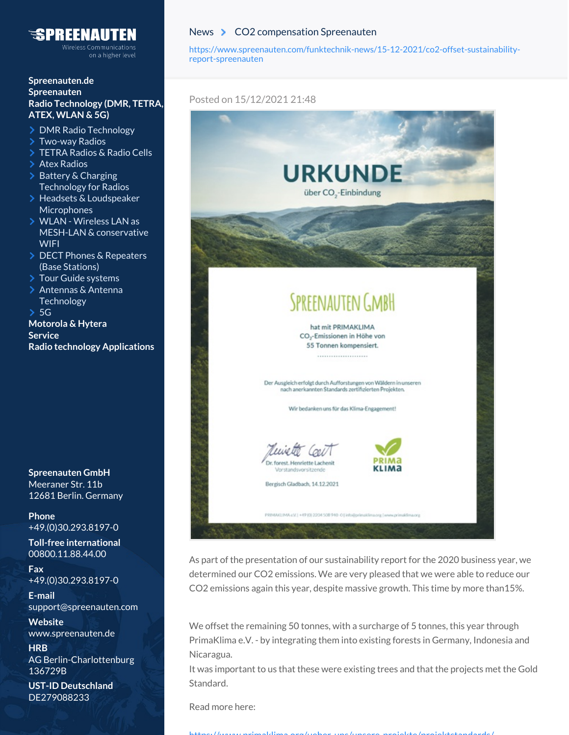## NATITEN

on a higher level

## **[Spreenauten.de](https://www.spreenauten.com) [Spreenauten](https://www.spreenauten.com/spreenauten-gmbh/) Radio [Technology](https://www.spreenauten.com/radio-technology/) (DMR, TETRA, ATEX, WLAN & 5G)**

- > DMR Radio [Technology](https://www.spreenauten.com/radio-technology/dmr-radios/)
- [Two-way](https://www.spreenauten.com/radio-technology/two-way-radios/) Radios
- [TETRA](https://www.spreenauten.com/radio-technology/tetra-radio/) Radios & Radio Cells
- > Atex [Radios](https://www.spreenauten.com/radio-technology/atex-radios/)
- Battery & Charging [Technology](https://www.spreenauten.com/radio-technology/battery-charging-stations-for-radios/) for Radios
- > Headsets & [Loudspeaker](https://www.spreenauten.com/radio-technology/headsets-loudspeaker-microphones/) **Microphones**
- WLAN Wireless LAN as MESH-LAN & [conservative](https://www.spreenauten.com/radio-technology/wlan/) **WIFI**
- DECT Phones & [Repeaters](https://www.spreenauten.com/radio-technology/dect-phones-repeater/) (Base Stations)
- Tour Guide [systems](https://www.spreenauten.com/radio-technology/tour-guide-systems/)
- > Antennas & Antenna **[Technology](https://www.spreenauten.com/radio-technology/antennas-antenna-technology/)**
- $> 5G$  $> 5G$

**[Motorola](https://www.spreenauten.com/motorola-hytera/) & Hytera [Service](https://www.spreenauten.com/service/) Radio technology [Applications](https://www.spreenauten.com/radio-technology-applications/)**

**Spreenauten GmbH** Meeraner Str. 11b 12681 Berlin. Germany

**Phone** +49.(0)30.293.8197-0

**Toll-free international** 00800.11.88.44.00

**Fax** +49.(0)30.293.8197-0

**E-mail** [support@spreenauten.com](mailto:support@spreenauten.com)

**Website** [www.spreenauten.de](https://www.spreenauten.de/)

**HRB** AG Berlin-Charlottenburg 136729B

**UST-ID Deutschland** DE279088233

## [News](https://www.spreenauten.com/funktechnik-news) > CO2 [compensation](https://www.spreenauten.com/funktechnik-news/15-12-2021/co2-offset-sustainability-report-spreenauten) Spreenauten

[https://www.spreenauten.com/funktechnik-news/15-12-2021/co2-offset-sustainability](https://www.spreenauten.com/funktechnik-news/15-12-2021/co2-offset-sustainability-report-spreenauten)report-spreenauten

## Posted on 15/12/2021 21:48



As part of the presentation of our sustainability report for the 2020 business year, we determined our CO2 emissions. We are very pleased that we were able to reduce our CO2 emissions again this year, despite massive growth. This time by more than15%.

We offset the remaining 50 tonnes, with a surcharge of 5 tonnes, this year through PrimaKlima e.V. - by integrating them into existing forests in Germany, Indonesia and Nicaragua.

It was important to us that these were existing trees and that the projects met the Gold Standard.

Read more here:

https://www.primaklima.org/ueber-uns/unsere-projekte/projektstandards/